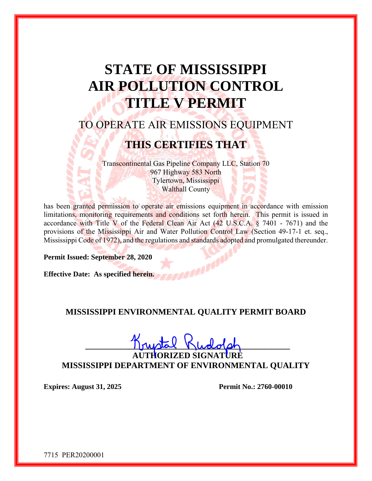# **STATE OF MISSISSIPPI AIR POLLUTION CONTROL TITLE V PERMIT**

## TO OPERATE AIR EMISSIONS EQUIPMENT

## **THIS CERTIFIES THAT**

Transcontinental Gas Pipeline Company LLC, Station 70 967 Highway 583 North Tylertown, Mississippi Walthall County

has been granted permission to operate air emissions equipment in accordance with emission limitations, monitoring requirements and conditions set forth herein. This permit is issued in accordance with Title V of the Federal Clean Air Act (42 U.S.C.A. § 7401 - 7671) and the provisions of the Mississippi Air and Water Pollution Control Law (Section 49-17-1 et. seq., Mississippi Code of 1972), and the regulations and standards adopted and promulgated thereunder.

**Permit Issued: September 28, 2020** 

**Effective Date: As specified herein.** 

### **MISSISSIPPI ENVIRONMENTAL QUALITY PERMIT BOARD**

 $I$ ruptal  $N$ ludolph

T**HORIZED SIGNA MISSISSIPPI DEPARTMENT OF ENVIRONMENTAL QUALITY** 

**Expires: August 31, 2025 Permit No.: 2760-00010**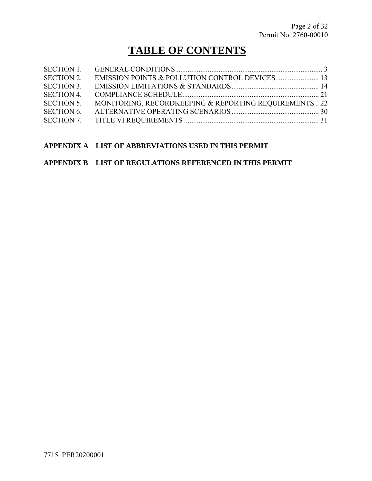## **TABLE OF CONTENTS**

| <b>SECTION 1.</b> |                                                       |  |
|-------------------|-------------------------------------------------------|--|
| <b>SECTION 2.</b> |                                                       |  |
| <b>SECTION 3.</b> |                                                       |  |
| <b>SECTION 4.</b> |                                                       |  |
| <b>SECTION 5.</b> | MONITORING, RECORDKEEPING & REPORTING REQUIREMENTS 22 |  |
| <b>SECTION 6.</b> |                                                       |  |
|                   |                                                       |  |

#### **APPENDIX A LIST OF ABBREVIATIONS USED IN THIS PERMIT**

#### **APPENDIX B LIST OF REGULATIONS REFERENCED IN THIS PERMIT**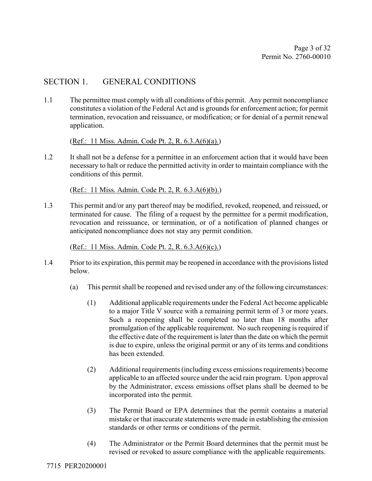### SECTION 1. GENERAL CONDITIONS

1.1 The permittee must comply with all conditions of this permit. Any permit noncompliance constitutes a violation of the Federal Act and is grounds for enforcement action; for permit termination, revocation and reissuance, or modification; or for denial of a permit renewal application.

(Ref.: 11 Miss. Admin. Code Pt. 2, R. 6.3.A(6)(a).)

1.2 It shall not be a defense for a permittee in an enforcement action that it would have been necessary to halt or reduce the permitted activity in order to maintain compliance with the conditions of this permit.

(Ref.: 11 Miss. Admin. Code Pt. 2, R. 6.3.A(6)(b).)

1.3 This permit and/or any part thereof may be modified, revoked, reopened, and reissued, or terminated for cause. The filing of a request by the permittee for a permit modification, revocation and reissuance, or termination, or of a notification of planned changes or anticipated noncompliance does not stay any permit condition.

(Ref.: 11 Miss. Admin. Code Pt. 2, R. 6.3.A(6)(c).)

- 1.4 Prior to its expiration, this permit may be reopened in accordance with the provisions listed below.
	- (a) This permit shall be reopened and revised under any of the following circumstances:
		- (1) Additional applicable requirements under the Federal Act become applicable to a major Title V source with a remaining permit term of 3 or more years. Such a reopening shall be completed no later than 18 months after promulgation of the applicable requirement. No such reopening is required if the effective date of the requirement is later than the date on which the permit is due to expire, unless the original permit or any of its terms and conditions has been extended.
		- (2) Additional requirements (including excess emissions requirements) become applicable to an affected source under the acid rain program. Upon approval by the Administrator, excess emissions offset plans shall be deemed to be incorporated into the permit.
		- (3) The Permit Board or EPA determines that the permit contains a material mistake or that inaccurate statements were made in establishing the emission standards or other terms or conditions of the permit.
		- (4) The Administrator or the Permit Board determines that the permit must be revised or revoked to assure compliance with the applicable requirements.

7715 PER20200001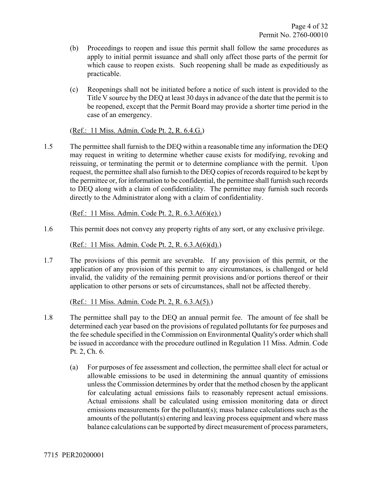- (b) Proceedings to reopen and issue this permit shall follow the same procedures as apply to initial permit issuance and shall only affect those parts of the permit for which cause to reopen exists. Such reopening shall be made as expeditiously as practicable.
- (c) Reopenings shall not be initiated before a notice of such intent is provided to the Title V source by the DEQ at least 30 days in advance of the date that the permit is to be reopened, except that the Permit Board may provide a shorter time period in the case of an emergency.

(Ref.: 11 Miss. Admin. Code Pt. 2, R. 6.4.G.)

1.5 The permittee shall furnish to the DEQ within a reasonable time any information the DEQ may request in writing to determine whether cause exists for modifying, revoking and reissuing, or terminating the permit or to determine compliance with the permit. Upon request, the permittee shall also furnish to the DEQ copies of records required to be kept by the permittee or, for information to be confidential, the permittee shall furnish such records to DEQ along with a claim of confidentiality. The permittee may furnish such records directly to the Administrator along with a claim of confidentiality.

(Ref.: 11 Miss. Admin. Code Pt. 2, R. 6.3.A(6)(e).)

1.6 This permit does not convey any property rights of any sort, or any exclusive privilege.

(Ref.: 11 Miss. Admin. Code Pt. 2, R. 6.3.A(6)(d).)

1.7 The provisions of this permit are severable. If any provision of this permit, or the application of any provision of this permit to any circumstances, is challenged or held invalid, the validity of the remaining permit provisions and/or portions thereof or their application to other persons or sets of circumstances, shall not be affected thereby.

(Ref.: 11 Miss. Admin. Code Pt. 2, R. 6.3.A(5).)

- 1.8 The permittee shall pay to the DEQ an annual permit fee. The amount of fee shall be determined each year based on the provisions of regulated pollutants for fee purposes and the fee schedule specified in the Commission on Environmental Quality's order which shall be issued in accordance with the procedure outlined in Regulation 11 Miss. Admin. Code Pt. 2, Ch. 6.
	- (a) For purposes of fee assessment and collection, the permittee shall elect for actual or allowable emissions to be used in determining the annual quantity of emissions unless the Commission determines by order that the method chosen by the applicant for calculating actual emissions fails to reasonably represent actual emissions. Actual emissions shall be calculated using emission monitoring data or direct emissions measurements for the pollutant(s); mass balance calculations such as the amounts of the pollutant(s) entering and leaving process equipment and where mass balance calculations can be supported by direct measurement of process parameters,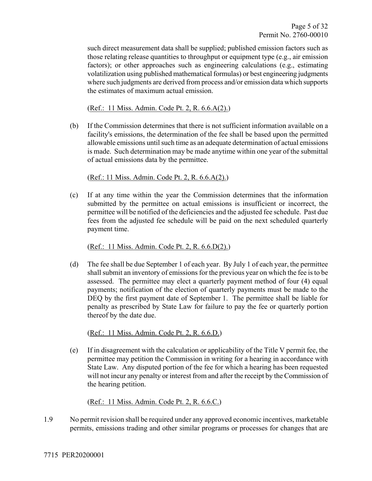such direct measurement data shall be supplied; published emission factors such as those relating release quantities to throughput or equipment type (e.g., air emission factors); or other approaches such as engineering calculations (e.g., estimating volatilization using published mathematical formulas) or best engineering judgments where such judgments are derived from process and/or emission data which supports the estimates of maximum actual emission.

(Ref.: 11 Miss. Admin. Code Pt. 2, R. 6.6.A(2).)

(b) If the Commission determines that there is not sufficient information available on a facility's emissions, the determination of the fee shall be based upon the permitted allowable emissions until such time as an adequate determination of actual emissions is made. Such determination may be made anytime within one year of the submittal of actual emissions data by the permittee.

(Ref.: 11 Miss. Admin. Code Pt. 2, R. 6.6.A(2).)

(c) If at any time within the year the Commission determines that the information submitted by the permittee on actual emissions is insufficient or incorrect, the permittee will be notified of the deficiencies and the adjusted fee schedule. Past due fees from the adjusted fee schedule will be paid on the next scheduled quarterly payment time.

(Ref.: 11 Miss. Admin. Code Pt. 2, R. 6.6.D(2).)

(d) The fee shall be due September 1 of each year. By July 1 of each year, the permittee shall submit an inventory of emissions for the previous year on which the fee is to be assessed. The permittee may elect a quarterly payment method of four (4) equal payments; notification of the election of quarterly payments must be made to the DEQ by the first payment date of September 1. The permittee shall be liable for penalty as prescribed by State Law for failure to pay the fee or quarterly portion thereof by the date due.

(Ref.: 11 Miss. Admin. Code Pt. 2, R. 6.6.D.)

(e) If in disagreement with the calculation or applicability of the Title V permit fee, the permittee may petition the Commission in writing for a hearing in accordance with State Law. Any disputed portion of the fee for which a hearing has been requested will not incur any penalty or interest from and after the receipt by the Commission of the hearing petition.

(Ref.: 11 Miss. Admin. Code Pt. 2, R. 6.6.C.)

1.9 No permit revision shall be required under any approved economic incentives, marketable permits, emissions trading and other similar programs or processes for changes that are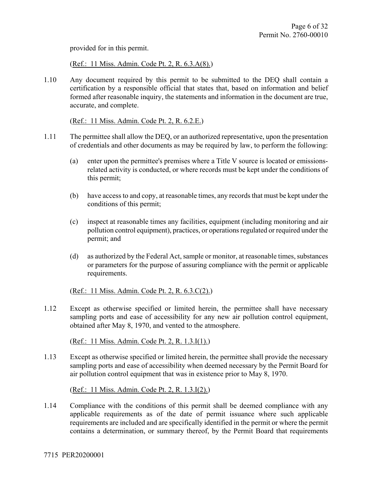provided for in this permit.

(Ref.: 11 Miss. Admin. Code Pt. 2, R. 6.3.A(8).)

1.10 Any document required by this permit to be submitted to the DEQ shall contain a certification by a responsible official that states that, based on information and belief formed after reasonable inquiry, the statements and information in the document are true, accurate, and complete.

(Ref.: 11 Miss. Admin. Code Pt. 2, R. 6.2.E.)

- 1.11 The permittee shall allow the DEQ, or an authorized representative, upon the presentation of credentials and other documents as may be required by law, to perform the following:
	- (a) enter upon the permittee's premises where a Title V source is located or emissionsrelated activity is conducted, or where records must be kept under the conditions of this permit;
	- (b) have access to and copy, at reasonable times, any records that must be kept under the conditions of this permit;
	- (c) inspect at reasonable times any facilities, equipment (including monitoring and air pollution control equipment), practices, or operations regulated or required under the permit; and
	- (d) as authorized by the Federal Act, sample or monitor, at reasonable times, substances or parameters for the purpose of assuring compliance with the permit or applicable requirements.

(Ref.: 11 Miss. Admin. Code Pt. 2, R. 6.3.C(2).)

1.12 Except as otherwise specified or limited herein, the permittee shall have necessary sampling ports and ease of accessibility for any new air pollution control equipment, obtained after May 8, 1970, and vented to the atmosphere.

(Ref.: 11 Miss. Admin. Code Pt. 2, R. 1.3.I(1).)

1.13 Except as otherwise specified or limited herein, the permittee shall provide the necessary sampling ports and ease of accessibility when deemed necessary by the Permit Board for air pollution control equipment that was in existence prior to May 8, 1970.

(Ref.: 11 Miss. Admin. Code Pt. 2, R. 1.3.I(2).)

1.14 Compliance with the conditions of this permit shall be deemed compliance with any applicable requirements as of the date of permit issuance where such applicable requirements are included and are specifically identified in the permit or where the permit contains a determination, or summary thereof, by the Permit Board that requirements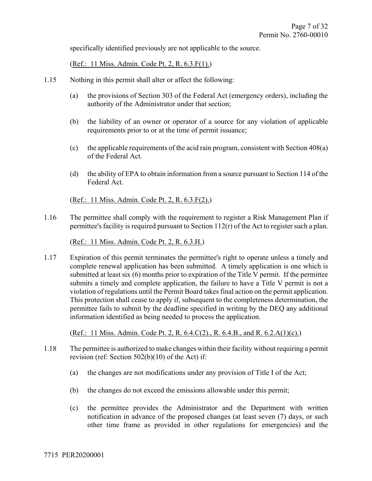specifically identified previously are not applicable to the source.

(Ref.: 11 Miss. Admin. Code Pt. 2, R. 6.3.F(1).)

- 1.15 Nothing in this permit shall alter or affect the following:
	- (a) the provisions of Section 303 of the Federal Act (emergency orders), including the authority of the Administrator under that section;
	- (b) the liability of an owner or operator of a source for any violation of applicable requirements prior to or at the time of permit issuance;
	- (c) the applicable requirements of the acid rain program, consistent with Section 408(a) of the Federal Act.
	- (d) the ability of EPA to obtain information from a source pursuant to Section 114 of the Federal Act.

(Ref.: 11 Miss. Admin. Code Pt. 2, R. 6.3.F(2).)

1.16 The permittee shall comply with the requirement to register a Risk Management Plan if permittee's facility is required pursuant to Section 112(r) of the Act to register such a plan.

(Ref.: 11 Miss. Admin. Code Pt. 2, R. 6.3.H.)

1.17 Expiration of this permit terminates the permittee's right to operate unless a timely and complete renewal application has been submitted. A timely application is one which is submitted at least six (6) months prior to expiration of the Title V permit. If the permittee submits a timely and complete application, the failure to have a Title V permit is not a violation of regulations until the Permit Board takes final action on the permit application. This protection shall cease to apply if, subsequent to the completeness determination, the permittee fails to submit by the deadline specified in writing by the DEQ any additional information identified as being needed to process the application.

(Ref.: 11 Miss. Admin. Code Pt. 2, R. 6.4.C(2)., R. 6.4.B., and R. 6.2.A(1)(c).)

- 1.18 The permittee is authorized to make changes within their facility without requiring a permit revision (ref: Section 502(b)(10) of the Act) if:
	- (a) the changes are not modifications under any provision of Title I of the Act;
	- (b) the changes do not exceed the emissions allowable under this permit;
	- (c) the permittee provides the Administrator and the Department with written notification in advance of the proposed changes (at least seven (7) days, or such other time frame as provided in other regulations for emergencies) and the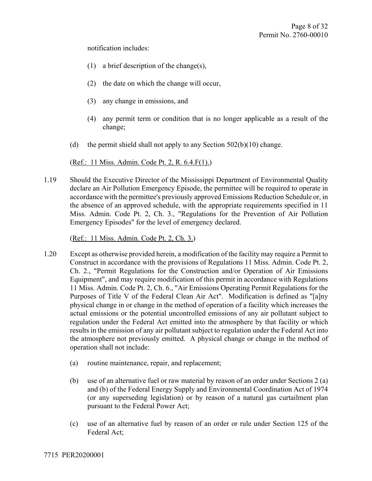notification includes:

- (1) a brief description of the change(s),
- (2) the date on which the change will occur,
- (3) any change in emissions, and
- (4) any permit term or condition that is no longer applicable as a result of the change;
- (d) the permit shield shall not apply to any Section  $502(b)(10)$  change.

(Ref.: 11 Miss. Admin. Code Pt. 2, R. 6.4.F(1).)

1.19 Should the Executive Director of the Mississippi Department of Environmental Quality declare an Air Pollution Emergency Episode, the permittee will be required to operate in accordance with the permittee's previously approved Emissions Reduction Schedule or, in the absence of an approved schedule, with the appropriate requirements specified in 11 Miss. Admin. Code Pt. 2, Ch. 3., "Regulations for the Prevention of Air Pollution Emergency Episodes" for the level of emergency declared.

(Ref.: 11 Miss. Admin. Code Pt. 2, Ch. 3.)

- 1.20 Except as otherwise provided herein, a modification of the facility may require a Permit to Construct in accordance with the provisions of Regulations 11 Miss. Admin. Code Pt. 2, Ch. 2., "Permit Regulations for the Construction and/or Operation of Air Emissions Equipment", and may require modification of this permit in accordance with Regulations 11 Miss. Admin. Code Pt. 2, Ch. 6., "Air Emissions Operating Permit Regulations for the Purposes of Title V of the Federal Clean Air Act". Modification is defined as "[a]ny physical change in or change in the method of operation of a facility which increases the actual emissions or the potential uncontrolled emissions of any air pollutant subject to regulation under the Federal Act emitted into the atmosphere by that facility or which results in the emission of any air pollutant subject to regulation under the Federal Act into the atmosphere not previously emitted. A physical change or change in the method of operation shall not include:
	- (a) routine maintenance, repair, and replacement;
	- (b) use of an alternative fuel or raw material by reason of an order under Sections 2 (a) and (b) of the Federal Energy Supply and Environmental Coordination Act of 1974 (or any superseding legislation) or by reason of a natural gas curtailment plan pursuant to the Federal Power Act;
	- (c) use of an alternative fuel by reason of an order or rule under Section 125 of the Federal Act;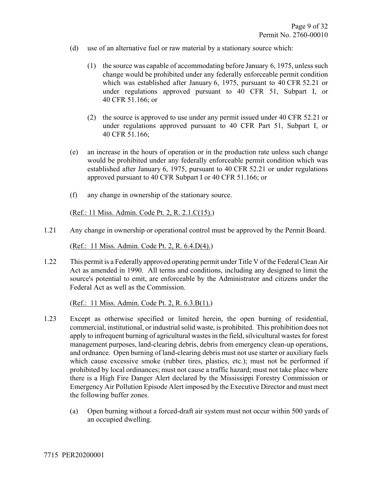- (d) use of an alternative fuel or raw material by a stationary source which:
	- (1) the source was capable of accommodating before January 6, 1975, unless such change would be prohibited under any federally enforceable permit condition which was established after January 6, 1975, pursuant to 40 CFR 52.21 or under regulations approved pursuant to 40 CFR 51, Subpart I, or 40 CFR 51.166; or
	- (2) the source is approved to use under any permit issued under 40 CFR 52.21 or under regulations approved pursuant to 40 CFR Part 51, Subpart I, or 40 CFR 51.166;
- (e) an increase in the hours of operation or in the production rate unless such change would be prohibited under any federally enforceable permit condition which was established after January 6, 1975, pursuant to 40 CFR 52.21 or under regulations approved pursuant to 40 CFR Subpart I or 40 CFR 51.166; or
- (f) any change in ownership of the stationary source.

(Ref.: 11 Miss. Admin. Code Pt. 2, R. 2.1.C(15).)

1.21 Any change in ownership or operational control must be approved by the Permit Board.

(Ref.: 11 Miss. Admin. Code Pt. 2, R. 6.4.D(4).)

1.22 This permit is a Federally approved operating permit under Title V of the Federal Clean Air Act as amended in 1990. All terms and conditions, including any designed to limit the source's potential to emit, are enforceable by the Administrator and citizens under the Federal Act as well as the Commission.

(Ref.: 11 Miss. Admin. Code Pt. 2, R. 6.3.B(1).)

- 1.23 Except as otherwise specified or limited herein, the open burning of residential, commercial, institutional, or industrial solid waste, is prohibited. This prohibition does not apply to infrequent burning of agricultural wastes in the field, silvicultural wastes for forest management purposes, land-clearing debris, debris from emergency clean-up operations, and ordnance. Open burning of land-clearing debris must not use starter or auxiliary fuels which cause excessive smoke (rubber tires, plastics, etc.); must not be performed if prohibited by local ordinances; must not cause a traffic hazard; must not take place where there is a High Fire Danger Alert declared by the Mississippi Forestry Commission or Emergency Air Pollution Episode Alert imposed by the Executive Director and must meet the following buffer zones.
	- (a) Open burning without a forced-draft air system must not occur within 500 yards of an occupied dwelling.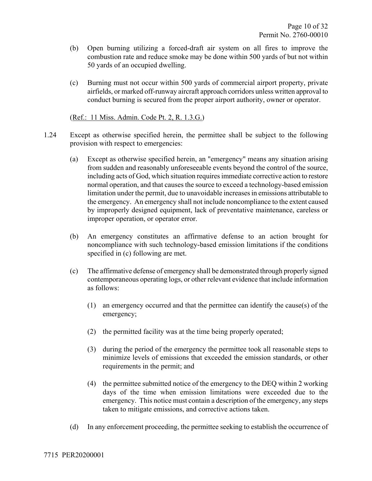- (b) Open burning utilizing a forced-draft air system on all fires to improve the combustion rate and reduce smoke may be done within 500 yards of but not within 50 yards of an occupied dwelling.
- (c) Burning must not occur within 500 yards of commercial airport property, private airfields, or marked off-runway aircraft approach corridors unless written approval to conduct burning is secured from the proper airport authority, owner or operator.

(Ref.: 11 Miss. Admin. Code Pt. 2, R. 1.3.G.)

- 1.24 Except as otherwise specified herein, the permittee shall be subject to the following provision with respect to emergencies:
	- (a) Except as otherwise specified herein, an "emergency" means any situation arising from sudden and reasonably unforeseeable events beyond the control of the source, including acts of God, which situation requires immediate corrective action to restore normal operation, and that causes the source to exceed a technology-based emission limitation under the permit, due to unavoidable increases in emissions attributable to the emergency. An emergency shall not include noncompliance to the extent caused by improperly designed equipment, lack of preventative maintenance, careless or improper operation, or operator error.
	- (b) An emergency constitutes an affirmative defense to an action brought for noncompliance with such technology-based emission limitations if the conditions specified in (c) following are met.
	- (c) The affirmative defense of emergency shall be demonstrated through properly signed contemporaneous operating logs, or other relevant evidence that include information as follows:
		- (1) an emergency occurred and that the permittee can identify the cause(s) of the emergency;
		- (2) the permitted facility was at the time being properly operated;
		- (3) during the period of the emergency the permittee took all reasonable steps to minimize levels of emissions that exceeded the emission standards, or other requirements in the permit; and
		- (4) the permittee submitted notice of the emergency to the DEQ within 2 working days of the time when emission limitations were exceeded due to the emergency. This notice must contain a description of the emergency, any steps taken to mitigate emissions, and corrective actions taken.
	- (d) In any enforcement proceeding, the permittee seeking to establish the occurrence of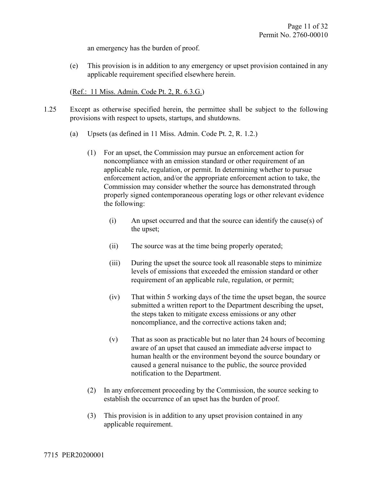an emergency has the burden of proof.

(e) This provision is in addition to any emergency or upset provision contained in any applicable requirement specified elsewhere herein.

(Ref.: 11 Miss. Admin. Code Pt. 2, R. 6.3.G.)

- 1.25 Except as otherwise specified herein, the permittee shall be subject to the following provisions with respect to upsets, startups, and shutdowns.
	- (a) Upsets (as defined in 11 Miss. Admin. Code Pt. 2, R. 1.2.)
		- (1) For an upset, the Commission may pursue an enforcement action for noncompliance with an emission standard or other requirement of an applicable rule, regulation, or permit. In determining whether to pursue enforcement action, and/or the appropriate enforcement action to take, the Commission may consider whether the source has demonstrated through properly signed contemporaneous operating logs or other relevant evidence the following:
			- (i) An upset occurred and that the source can identify the cause(s) of the upset;
			- (ii) The source was at the time being properly operated;
			- (iii) During the upset the source took all reasonable steps to minimize levels of emissions that exceeded the emission standard or other requirement of an applicable rule, regulation, or permit;
			- (iv) That within 5 working days of the time the upset began, the source submitted a written report to the Department describing the upset, the steps taken to mitigate excess emissions or any other noncompliance, and the corrective actions taken and;
			- (v) That as soon as practicable but no later than 24 hours of becoming aware of an upset that caused an immediate adverse impact to human health or the environment beyond the source boundary or caused a general nuisance to the public, the source provided notification to the Department.
		- (2) In any enforcement proceeding by the Commission, the source seeking to establish the occurrence of an upset has the burden of proof.
		- (3) This provision is in addition to any upset provision contained in any applicable requirement.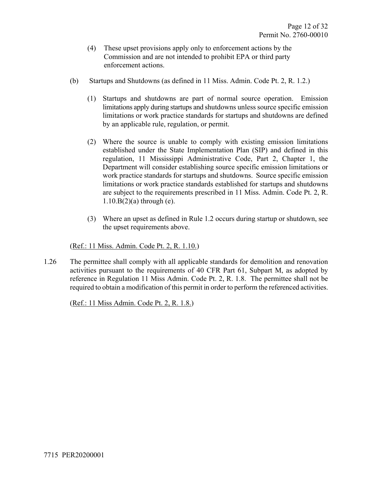- (4) These upset provisions apply only to enforcement actions by the Commission and are not intended to prohibit EPA or third party enforcement actions.
- (b) Startups and Shutdowns (as defined in 11 Miss. Admin. Code Pt. 2, R. 1.2.)
	- (1) Startups and shutdowns are part of normal source operation. Emission limitations apply during startups and shutdowns unless source specific emission limitations or work practice standards for startups and shutdowns are defined by an applicable rule, regulation, or permit.
	- (2) Where the source is unable to comply with existing emission limitations established under the State Implementation Plan (SIP) and defined in this regulation, 11 Mississippi Administrative Code, Part 2, Chapter 1, the Department will consider establishing source specific emission limitations or work practice standards for startups and shutdowns. Source specific emission limitations or work practice standards established for startups and shutdowns are subject to the requirements prescribed in 11 Miss. Admin. Code Pt. 2, R.  $1.10.B(2)$ (a) through (e).
	- (3) Where an upset as defined in Rule 1.2 occurs during startup or shutdown, see the upset requirements above.

(Ref.: 11 Miss. Admin. Code Pt. 2, R. 1.10.)

1.26 The permittee shall comply with all applicable standards for demolition and renovation activities pursuant to the requirements of 40 CFR Part 61, Subpart M, as adopted by reference in Regulation 11 Miss Admin. Code Pt. 2, R. 1.8. The permittee shall not be required to obtain a modification of this permit in order to perform the referenced activities.

(Ref.: 11 Miss Admin. Code Pt. 2, R. 1.8.)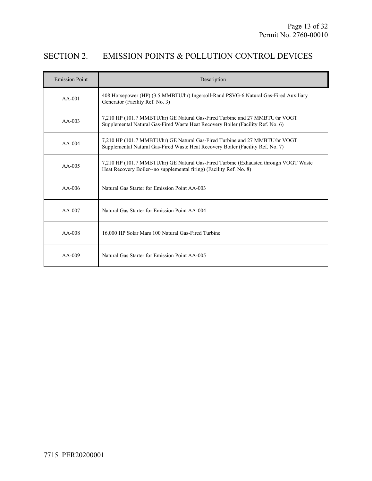## SECTION 2. EMISSION POINTS & POLLUTION CONTROL DEVICES

| <b>Emission Point</b> | Description                                                                                                                                                    |
|-----------------------|----------------------------------------------------------------------------------------------------------------------------------------------------------------|
| $AA-001$              | 408 Horsepower (HP) (3.5 MMBTU/hr) Ingersoll-Rand PSVG-6 Natural Gas-Fired Auxiliary<br>Generator (Facility Ref. No. 3)                                        |
| $AA-003$              | 7,210 HP (101.7 MMBTU/hr) GE Natural Gas-Fired Turbine and 27 MMBTU/hr VOGT<br>Supplemental Natural Gas-Fired Waste Heat Recovery Boiler (Facility Ref. No. 6) |
| $AA-004$              | 7,210 HP (101.7 MMBTU/hr) GE Natural Gas-Fired Turbine and 27 MMBTU/hr VOGT<br>Supplemental Natural Gas-Fired Waste Heat Recovery Boiler (Facility Ref. No. 7) |
| $AA-005$              | 7,210 HP (101.7 MMBTU/hr) GE Natural Gas-Fired Turbine (Exhausted through VOGT Waste<br>Heat Recovery Boiler--no supplemental firing) (Facility Ref. No. 8)    |
| $AA-006$              | Natural Gas Starter for Emission Point AA-003                                                                                                                  |
| $AA-007$              | Natural Gas Starter for Emission Point AA-004                                                                                                                  |
| $AA-008$              | 16,000 HP Solar Mars 100 Natural Gas-Fired Turbine                                                                                                             |
| $AA-009$              | Natural Gas Starter for Emission Point AA-005                                                                                                                  |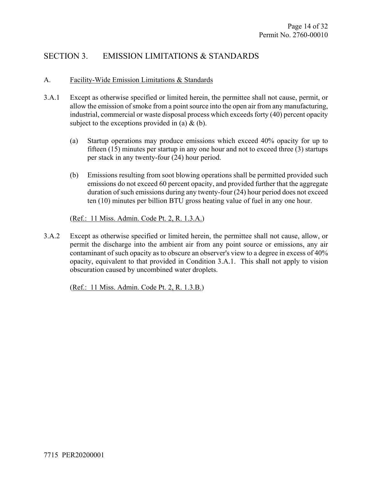## SECTION 3. EMISSION LIMITATIONS & STANDARDS

#### A. Facility-Wide Emission Limitations & Standards

- 3.A.1 Except as otherwise specified or limited herein, the permittee shall not cause, permit, or allow the emission of smoke from a point source into the open air from any manufacturing, industrial, commercial or waste disposal process which exceeds forty (40) percent opacity subject to the exceptions provided in (a)  $\&$  (b).
	- (a) Startup operations may produce emissions which exceed 40% opacity for up to fifteen (15) minutes per startup in any one hour and not to exceed three (3) startups per stack in any twenty-four (24) hour period.
	- (b) Emissions resulting from soot blowing operations shall be permitted provided such emissions do not exceed 60 percent opacity, and provided further that the aggregate duration of such emissions during any twenty-four (24) hour period does not exceed ten (10) minutes per billion BTU gross heating value of fuel in any one hour.

(Ref.: 11 Miss. Admin. Code Pt. 2, R. 1.3.A.)

3.A.2 Except as otherwise specified or limited herein, the permittee shall not cause, allow, or permit the discharge into the ambient air from any point source or emissions, any air contaminant of such opacity as to obscure an observer's view to a degree in excess of 40% opacity, equivalent to that provided in Condition 3.A.1. This shall not apply to vision obscuration caused by uncombined water droplets.

(Ref.: 11 Miss. Admin. Code Pt. 2, R. 1.3.B.)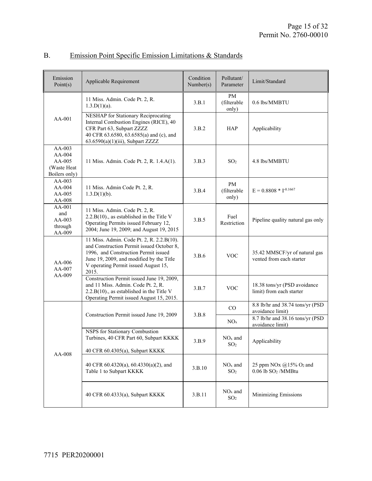| Emission<br>Point(s)                                         | Applicable Requirement                                                                                                                                                                                                      | Condition<br>Number(s) | Pollutant/<br>Parameter           | Limit/Standard                                                            |
|--------------------------------------------------------------|-----------------------------------------------------------------------------------------------------------------------------------------------------------------------------------------------------------------------------|------------------------|-----------------------------------|---------------------------------------------------------------------------|
|                                                              | 11 Miss. Admin. Code Pt. 2, R.<br>$1.3.D(1)(a)$ .                                                                                                                                                                           | 3.B.1                  | <b>PM</b><br>(filterable<br>only) | 0.6 lbs/MMBTU                                                             |
| $AA-001$                                                     | NESHAP for Stationary Reciprocating<br>Internal Combustion Engines (RICE), 40<br>CFR Part 63, Subpart ZZZZ<br>40 CFR 63.6580, 63.6585(a) and (c), and<br>$63.6590(a)(1)(iii)$ , Subpart ZZZZ                                | 3.B.2                  | <b>HAP</b>                        | Applicability                                                             |
| AA-003<br>$AA-004$<br>AA-005<br>(Waste Heat<br>Boilers only) | 11 Miss. Admin. Code Pt. 2, R. 1.4.A(1).                                                                                                                                                                                    | 3.B.3                  | SO <sub>2</sub>                   | 4.8 lbs/MMBTU                                                             |
| $AA-003$<br>$AA-004$<br>AA-005<br>AA-008                     | 11 Miss. Admin Code Pt. 2, R.<br>$1.3 \cdot D(1)(b)$ .                                                                                                                                                                      | 3.B.4                  | PM<br>(filterable<br>only)        | $E = 0.8808 * I^{-0.1667}$                                                |
| AA-001<br>and<br>$AA-003$<br>through<br>AA-009               | 11 Miss. Admin. Code Pt. 2, R.<br>$2.2.B(10)$ ., as established in the Title V<br>Operating Permits issued February 12,<br>2004; June 19, 2009; and August 19, 2015                                                         | 3.B.5                  | Fuel<br>Restriction               | Pipeline quality natural gas only                                         |
| AA-006<br>AA-007<br>AA-009                                   | 11 Miss. Admin. Code Pt. 2, R. 2.2.B(10).<br>and Construction Permit issued October 8,<br>1996, and Construction Permit issued<br>June 19, 2009, and modified by the Title<br>V operating Permit issued August 15,<br>2015. | 3.B.6                  | <b>VOC</b>                        | 35.42 MMSCF/yr of natural gas<br>vented from each starter                 |
|                                                              | Construction Permit issued June 19, 2009,<br>and 11 Miss. Admin. Code Pt. 2, R.<br>$2.2.B(10)$ ., as established in the Title V<br>Operating Permit issued August 15, 2015.                                                 | 3.B.7                  | <b>VOC</b>                        | 18.38 tons/yr (PSD avoidance<br>limit) from each starter                  |
|                                                              |                                                                                                                                                                                                                             | 3.B.8                  | CO                                | 8.8 lb/hr and 38.74 tons/yr (PSD<br>avoidance limit)                      |
| AA-008                                                       | Construction Permit issued June 19, 2009                                                                                                                                                                                    |                        | NO <sub>x</sub>                   | 8.7 lb/hr and 38.16 tons/yr (PSD<br>avoidance limit)                      |
|                                                              | NSPS for Stationary Combustion<br>Turbines, 40 CFR Part 60, Subpart KKKK<br>40 CFR 60.4305(a), Subpart KKKK                                                                                                                 | 3.B.9                  | $\rm NO_x$ and<br>SO <sub>2</sub> | Applicability                                                             |
|                                                              | 40 CFR 60.4320(a), 60.4330(a)(2), and<br>Table 1 to Subpart KKKK                                                                                                                                                            | 3.B.10                 | $NOx$ and<br>SO <sub>2</sub>      | 25 ppm NOx $(a)$ 15% O <sub>2</sub> and<br>0.06 lb SO <sub>2</sub> /MMBtu |
|                                                              | 40 CFR 60.4333(a), Subpart KKKK                                                                                                                                                                                             | 3.B.11                 | $NOx$ and<br>SO <sub>2</sub>      | <b>Minimizing Emissions</b>                                               |

## B. Emission Point Specific Emission Limitations & Standards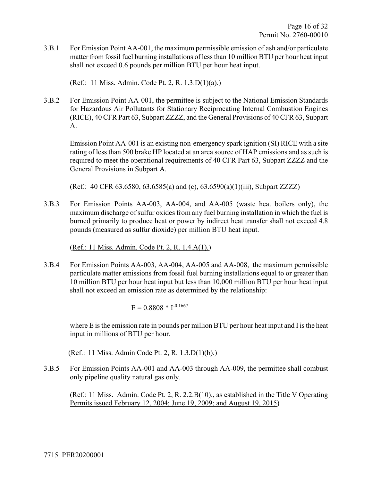3.B.1 For Emission Point AA-001, the maximum permissible emission of ash and/or particulate matter from fossil fuel burning installations of less than 10 million BTU per hour heat input shall not exceed 0.6 pounds per million BTU per hour heat input.

(Ref.: 11 Miss. Admin. Code Pt. 2, R. 1.3.D(1)(a).)

3.B.2 For Emission Point AA-001, the permittee is subject to the National Emission Standards for Hazardous Air Pollutants for Stationary Reciprocating Internal Combustion Engines (RICE), 40 CFR Part 63, Subpart ZZZZ, and the General Provisions of 40 CFR 63, Subpart A.

Emission Point AA-001 is an existing non-emergency spark ignition (SI) RICE with a site rating of less than 500 brake HP located at an area source of HAP emissions and as such is required to meet the operational requirements of 40 CFR Part 63, Subpart ZZZZ and the General Provisions in Subpart A.

(Ref.: 40 CFR 63.6580, 63.6585(a) and (c), 63.6590(a)(1)(iii), Subpart ZZZZ)

3.B.3 For Emission Points AA-003, AA-004, and AA-005 (waste heat boilers only), the maximum discharge of sulfur oxides from any fuel burning installation in which the fuel is burned primarily to produce heat or power by indirect heat transfer shall not exceed 4.8 pounds (measured as sulfur dioxide) per million BTU heat input.

(Ref.: 11 Miss. Admin. Code Pt. 2, R. 1.4.A(1).)

3.B.4 For Emission Points AA-003, AA-004, AA-005 and AA-008, the maximum permissible particulate matter emissions from fossil fuel burning installations equal to or greater than 10 million BTU per hour heat input but less than 10,000 million BTU per hour heat input shall not exceed an emission rate as determined by the relationship:

$$
E = 0.8808 * I^{-0.1667}
$$

where E is the emission rate in pounds per million BTU per hour heat input and I is the heat input in millions of BTU per hour.

(Ref.: 11 Miss. Admin Code Pt. 2, R. 1.3.D(1)(b).)

3.B.5 For Emission Points AA-001 and AA-003 through AA-009, the permittee shall combust only pipeline quality natural gas only.

(Ref.: 11 Miss. Admin. Code Pt. 2, R. 2.2.B(10)., as established in the Title V Operating Permits issued February 12, 2004; June 19, 2009; and August 19, 2015)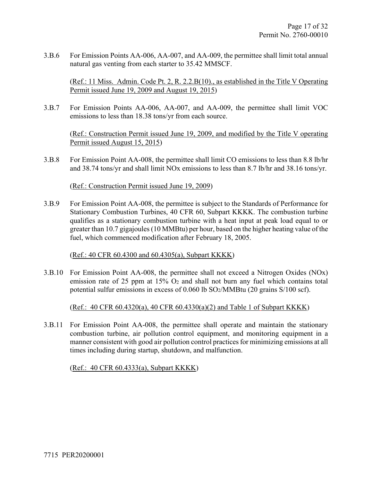3.B.6 For Emission Points AA-006, AA-007, and AA-009, the permittee shall limit total annual natural gas venting from each starter to 35.42 MMSCF.

(Ref.: 11 Miss. Admin. Code Pt. 2, R. 2.2.B(10)., as established in the Title V Operating Permit issued June 19, 2009 and August 19, 2015)

3.B.7 For Emission Points AA-006, AA-007, and AA-009, the permittee shall limit VOC emissions to less than 18.38 tons/yr from each source.

(Ref.: Construction Permit issued June 19, 2009, and modified by the Title V operating Permit issued August 15, 2015)

3.B.8 For Emission Point AA-008, the permittee shall limit CO emissions to less than 8.8 lb/hr and 38.74 tons/yr and shall limit NOx emissions to less than 8.7 lb/hr and 38.16 tons/yr.

#### (Ref.: Construction Permit issued June 19, 2009)

3.B.9 For Emission Point AA-008, the permittee is subject to the Standards of Performance for Stationary Combustion Turbines, 40 CFR 60, Subpart KKKK. The combustion turbine qualifies as a stationary combustion turbine with a heat input at peak load equal to or greater than 10.7 gigajoules (10 MMBtu) per hour, based on the higher heating value of the fuel, which commenced modification after February 18, 2005.

#### (Ref.: 40 CFR 60.4300 and 60.4305(a), Subpart KKKK)

3.B.10 For Emission Point AA-008, the permittee shall not exceed a Nitrogen Oxides (NOx) emission rate of 25 ppm at 15% O2 and shall not burn any fuel which contains total potential sulfur emissions in excess of 0.060 lb SO2/MMBtu (20 grains S/100 scf).

(Ref.: 40 CFR 60.4320(a), 40 CFR 60.4330(a)(2) and Table 1 of Subpart KKKK)

3.B.11 For Emission Point AA-008, the permittee shall operate and maintain the stationary combustion turbine, air pollution control equipment, and monitoring equipment in a manner consistent with good air pollution control practices for minimizing emissions at all times including during startup, shutdown, and malfunction.

(Ref.: 40 CFR 60.4333(a), Subpart KKKK)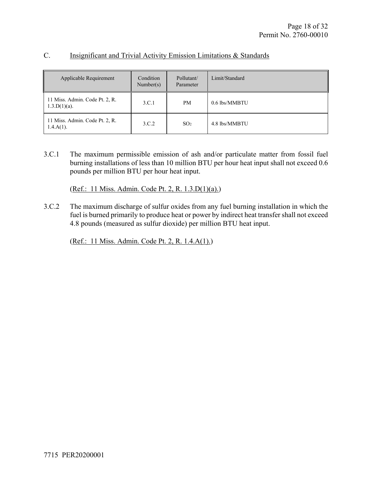| Applicable Requirement                                     | Condition<br>Number(s) | Pollutant/<br>Parameter | Limit/Standard |
|------------------------------------------------------------|------------------------|-------------------------|----------------|
| 11 Miss. Admin. Code Pt. 2, R.<br>3.C.1<br>$1.3.D(1)(a)$ . |                        | PM                      | 0.6 lbs/MMBTU  |
| 11 Miss. Admin. Code Pt. 2, R.<br>$1.4.A(1)$ .             | 3.C.2                  | SO <sub>2</sub>         | 4.8 lbs/MMBTU  |

#### C. Insignificant and Trivial Activity Emission Limitations & Standards

3.C.1 The maximum permissible emission of ash and/or particulate matter from fossil fuel burning installations of less than 10 million BTU per hour heat input shall not exceed 0.6 pounds per million BTU per hour heat input.

(Ref.: 11 Miss. Admin. Code Pt. 2, R. 1.3.D(1)(a).)

3.C.2 The maximum discharge of sulfur oxides from any fuel burning installation in which the fuel is burned primarily to produce heat or power by indirect heat transfer shall not exceed 4.8 pounds (measured as sulfur dioxide) per million BTU heat input.

(Ref.: 11 Miss. Admin. Code Pt. 2, R. 1.4.A(1).)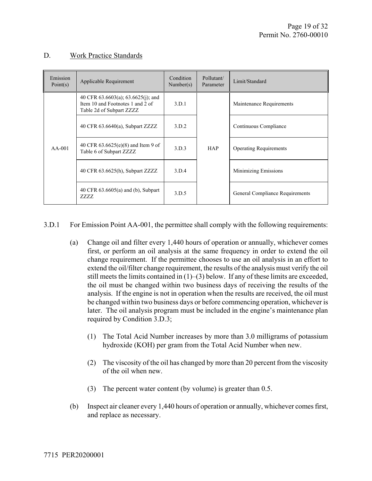#### D. Work Practice Standards

| Emission<br>Point(s) | Applicable Requirement                                                                             | Condition<br>Number(s) | Pollutant/<br>Parameter | Limit/Standard                  |
|----------------------|----------------------------------------------------------------------------------------------------|------------------------|-------------------------|---------------------------------|
| $AA-001$             | 40 CFR 63.6603(a); 63.6625(j); and<br>Item 10 and Footnotes 1 and 2 of<br>Table 2d of Subpart ZZZZ | 3.D.1                  | <b>HAP</b>              | Maintenance Requirements        |
|                      | 40 CFR $63.6640(a)$ , Subpart ZZZZ                                                                 | 3.D.2                  |                         | Continuous Compliance           |
|                      | 40 CFR $63.6625(e)(8)$ and Item 9 of<br>Table 6 of Subpart ZZZZ                                    | 3.D.3                  |                         | <b>Operating Requirements</b>   |
|                      | 40 CFR 63.6625(h), Subpart ZZZZ                                                                    | 3.D.4                  |                         | Minimizing Emissions            |
|                      | 40 CFR $63.6605(a)$ and (b), Subpart<br>7.7.7.7.                                                   | 3.D.5                  |                         | General Compliance Requirements |

3.D.1 For Emission Point AA-001, the permittee shall comply with the following requirements:

- (a) Change oil and filter every 1,440 hours of operation or annually, whichever comes first, or perform an oil analysis at the same frequency in order to extend the oil change requirement. If the permittee chooses to use an oil analysis in an effort to extend the oil/filter change requirement, the results of the analysis must verify the oil still meets the limits contained in  $(1)$ – $(3)$  below. If any of these limits are exceeded, the oil must be changed within two business days of receiving the results of the analysis. If the engine is not in operation when the results are received, the oil must be changed within two business days or before commencing operation, whichever is later. The oil analysis program must be included in the engine's maintenance plan required by Condition 3.D.3;
	- (1) The Total Acid Number increases by more than 3.0 milligrams of potassium hydroxide (KOH) per gram from the Total Acid Number when new.
	- (2) The viscosity of the oil has changed by more than 20 percent from the viscosity of the oil when new.
	- (3) The percent water content (by volume) is greater than 0.5.
- (b) Inspect air cleaner every 1,440 hours of operation or annually, whichever comes first, and replace as necessary.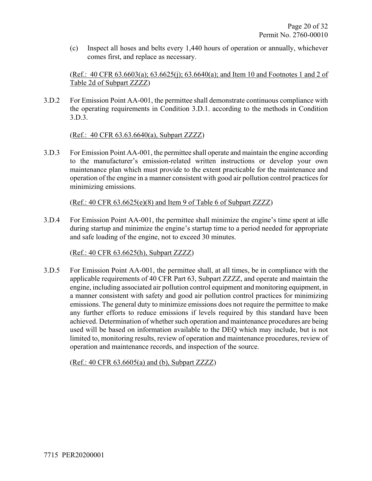(c) Inspect all hoses and belts every 1,440 hours of operation or annually, whichever comes first, and replace as necessary.

(Ref.: 40 CFR 63.6603(a); 63.6625(j); 63.6640(a); and Item 10 and Footnotes 1 and 2 of Table 2d of Subpart ZZZZ)

3.D.2 For Emission Point AA-001, the permittee shall demonstrate continuous compliance with the operating requirements in Condition 3.D.1. according to the methods in Condition 3.D.3.

(Ref.: 40 CFR 63.63.6640(a), Subpart ZZZZ)

3.D.3 For Emission Point AA-001, the permittee shall operate and maintain the engine according to the manufacturer's emission-related written instructions or develop your own maintenance plan which must provide to the extent practicable for the maintenance and operation of the engine in a manner consistent with good air pollution control practices for minimizing emissions.

(Ref.: 40 CFR 63.6625(e)(8) and Item 9 of Table 6 of Subpart ZZZZ)

3.D.4 For Emission Point AA-001, the permittee shall minimize the engine's time spent at idle during startup and minimize the engine's startup time to a period needed for appropriate and safe loading of the engine, not to exceed 30 minutes.

(Ref.: 40 CFR 63.6625(h), Subpart ZZZZ)

3.D.5 For Emission Point AA-001, the permittee shall, at all times, be in compliance with the applicable requirements of 40 CFR Part 63, Subpart ZZZZ, and operate and maintain the engine, including associated air pollution control equipment and monitoring equipment, in a manner consistent with safety and good air pollution control practices for minimizing emissions. The general duty to minimize emissions does not require the permittee to make any further efforts to reduce emissions if levels required by this standard have been achieved. Determination of whether such operation and maintenance procedures are being used will be based on information available to the DEQ which may include, but is not limited to, monitoring results, review of operation and maintenance procedures, review of operation and maintenance records, and inspection of the source.

(Ref.: 40 CFR 63.6605(a) and (b), Subpart ZZZZ)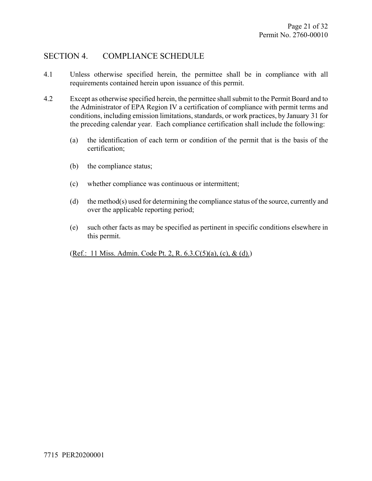### SECTION 4. COMPLIANCE SCHEDULE

- 4.1 Unless otherwise specified herein, the permittee shall be in compliance with all requirements contained herein upon issuance of this permit.
- 4.2 Except as otherwise specified herein, the permittee shall submit to the Permit Board and to the Administrator of EPA Region IV a certification of compliance with permit terms and conditions, including emission limitations, standards, or work practices, by January 31 for the preceding calendar year. Each compliance certification shall include the following:
	- (a) the identification of each term or condition of the permit that is the basis of the certification;
	- (b) the compliance status;
	- (c) whether compliance was continuous or intermittent;
	- (d) the method(s) used for determining the compliance status of the source, currently and over the applicable reporting period;
	- (e) such other facts as may be specified as pertinent in specific conditions elsewhere in this permit.

(Ref.: 11 Miss. Admin. Code Pt. 2, R. 6.3.C(5)(a), (c), & (d).)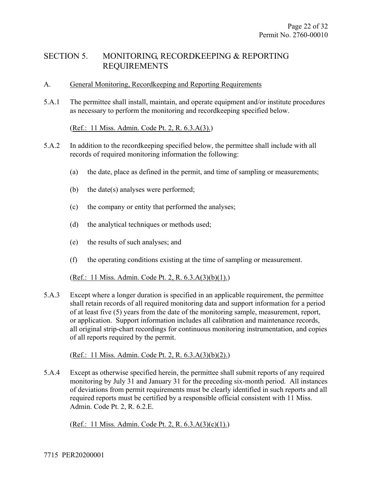### SECTION 5. MONITORING, RECORDKEEPING & REPORTING REQUIREMENTS

#### A. General Monitoring, Recordkeeping and Reporting Requirements

5.A.1 The permittee shall install, maintain, and operate equipment and/or institute procedures as necessary to perform the monitoring and recordkeeping specified below.

#### (Ref.: 11 Miss. Admin. Code Pt. 2, R. 6.3.A(3).)

- 5.A.2 In addition to the recordkeeping specified below, the permittee shall include with all records of required monitoring information the following:
	- (a) the date, place as defined in the permit, and time of sampling or measurements;
	- (b) the date(s) analyses were performed;
	- (c) the company or entity that performed the analyses;
	- (d) the analytical techniques or methods used;
	- (e) the results of such analyses; and
	- (f) the operating conditions existing at the time of sampling or measurement.

(Ref.: 11 Miss. Admin. Code Pt. 2, R. 6.3.A(3)(b)(1).)

5.A.3 Except where a longer duration is specified in an applicable requirement, the permittee shall retain records of all required monitoring data and support information for a period of at least five (5) years from the date of the monitoring sample, measurement, report, or application. Support information includes all calibration and maintenance records, all original strip-chart recordings for continuous monitoring instrumentation, and copies of all reports required by the permit.

(Ref.: 11 Miss. Admin. Code Pt. 2, R. 6.3.A(3)(b)(2).)

5.A.4 Except as otherwise specified herein, the permittee shall submit reports of any required monitoring by July 31 and January 31 for the preceding six-month period. All instances of deviations from permit requirements must be clearly identified in such reports and all required reports must be certified by a responsible official consistent with 11 Miss. Admin. Code Pt. 2, R. 6.2.E.

(Ref.: 11 Miss. Admin. Code Pt. 2, R. 6.3.A(3)(c)(1).)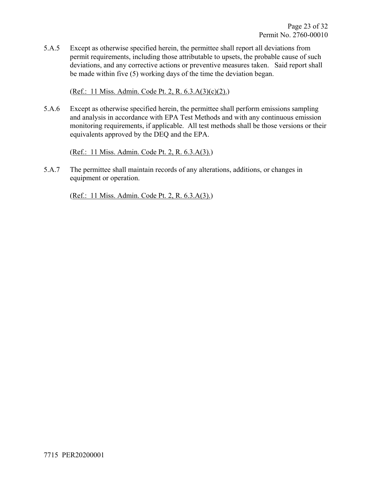5.A.5 Except as otherwise specified herein, the permittee shall report all deviations from permit requirements, including those attributable to upsets, the probable cause of such deviations, and any corrective actions or preventive measures taken. Said report shall be made within five (5) working days of the time the deviation began.

(Ref.: 11 Miss. Admin. Code Pt. 2, R. 6.3.A(3)(c)(2).)

5.A.6 Except as otherwise specified herein, the permittee shall perform emissions sampling and analysis in accordance with EPA Test Methods and with any continuous emission monitoring requirements, if applicable. All test methods shall be those versions or their equivalents approved by the DEQ and the EPA.

(Ref.: 11 Miss. Admin. Code Pt. 2, R. 6.3.A(3).)

5.A.7 The permittee shall maintain records of any alterations, additions, or changes in equipment or operation.

(Ref.: 11 Miss. Admin. Code Pt. 2, R. 6.3.A(3).)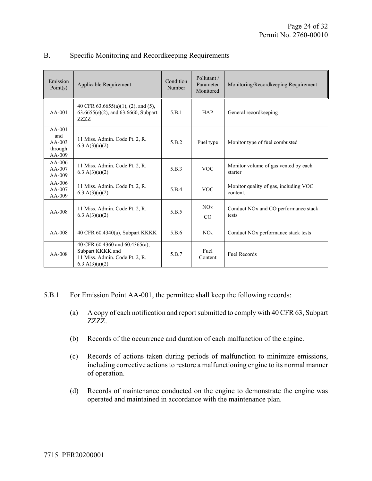| Emission<br>Point $(s)$                            | Applicable Requirement                                                                                 | Condition<br>Number | Pollutant /<br>Parameter<br>Monitored | Monitoring/Recordkeeping Requirement                      |
|----------------------------------------------------|--------------------------------------------------------------------------------------------------------|---------------------|---------------------------------------|-----------------------------------------------------------|
| $AA-001$                                           | 40 CFR $63.6655(a)(1)$ , (2), and (5),<br>$63.6655(e)(2)$ , and $63.6660$ , Subpart<br>7.7.7.7.        | 5.B.1               | <b>HAP</b>                            | General recordkeeping                                     |
| $AA-001$<br>and<br>$AA-003$<br>through<br>$AA-009$ | 11 Miss. Admin. Code Pt. 2, R.<br>6.3.A(3)(a)(2)                                                       | 5.B.2               | Fuel type                             | Monitor type of fuel combusted                            |
| $AA-006$<br>$AA-007$<br>$AA-009$                   | 11 Miss. Admin. Code Pt. 2, R.<br>6.3.A(3)(a)(2)                                                       | 5.B.3               | <b>VOC</b>                            | Monitor volume of gas vented by each<br>starter           |
| $AA-006$<br>$AA-007$<br>$AA-009$                   | 11 Miss. Admin. Code Pt. 2, R.<br>6.3.A(3)(a)(2)                                                       | 5.B.4               | <b>VOC</b>                            | Monitor quality of gas, including VOC<br>content.         |
| $AA-008$                                           | 11 Miss. Admin. Code Pt. 2, R.<br>6.3.A(3)(a)(2)                                                       | 5.B.5               | NOx<br>CO                             | Conduct NO <sub>x</sub> and CO performance stack<br>tests |
| $AA-008$                                           | 40 CFR 60.4340(a), Subpart KKKK                                                                        | 5.B.6               | NO <sub>x</sub>                       | Conduct NO <sub>x</sub> performance stack tests           |
| $AA-008$                                           | 40 CFR 60.4360 and 60.4365(a),<br>Subpart KKKK and<br>11 Miss. Admin. Code Pt. 2, R.<br>6.3.A(3)(a)(2) | 5.B.7               | Fuel<br>Content                       | <b>Fuel Records</b>                                       |

#### B. Specific Monitoring and Recordkeeping Requirements

- 5.B.1 For Emission Point AA-001, the permittee shall keep the following records:
	- (a) A copy of each notification and report submitted to comply with 40 CFR 63, Subpart ZZZZ.
	- (b) Records of the occurrence and duration of each malfunction of the engine.
	- (c) Records of actions taken during periods of malfunction to minimize emissions, including corrective actions to restore a malfunctioning engine to its normal manner of operation.
	- (d) Records of maintenance conducted on the engine to demonstrate the engine was operated and maintained in accordance with the maintenance plan.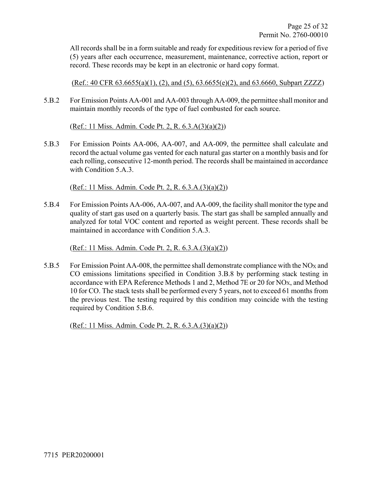All records shall be in a form suitable and ready for expeditious review for a period of five (5) years after each occurrence, measurement, maintenance, corrective action, report or record. These records may be kept in an electronic or hard copy format.

 $(Ref.: 40 CFR 63.6655(a)(1), (2), and (5), 63.6655(e)(2), and 63.6660, Subpart ZZZZ)$ 

5.B.2 For Emission Points AA-001 and AA-003 through AA-009, the permittee shall monitor and maintain monthly records of the type of fuel combusted for each source.

(Ref.: 11 Miss. Admin. Code Pt. 2, R. 6.3.A(3)(a)(2))

5.B.3 For Emission Points AA-006, AA-007, and AA-009, the permittee shall calculate and record the actual volume gas vented for each natural gas starter on a monthly basis and for each rolling, consecutive 12-month period. The records shall be maintained in accordance with Condition 5.A.3.

(Ref.: 11 Miss. Admin. Code Pt. 2, R. 6.3.A.(3)(a)(2))

5.B.4 For Emission Points AA-006, AA-007, and AA-009, the facility shall monitor the type and quality of start gas used on a quarterly basis. The start gas shall be sampled annually and analyzed for total VOC content and reported as weight percent. These records shall be maintained in accordance with Condition 5.A.3.

(Ref.: 11 Miss. Admin. Code Pt. 2, R. 6.3.A.(3)(a)(2))

5.B.5 For Emission Point AA-008, the permittee shall demonstrate compliance with the NOX and CO emissions limitations specified in Condition 3.B.8 by performing stack testing in accordance with EPA Reference Methods 1 and 2, Method 7E or 20 for NOX, and Method 10 for CO. The stack tests shall be performed every 5 years, not to exceed 61 months from the previous test. The testing required by this condition may coincide with the testing required by Condition 5.B.6.

(Ref.: 11 Miss. Admin. Code Pt. 2, R. 6.3.A.(3)(a)(2))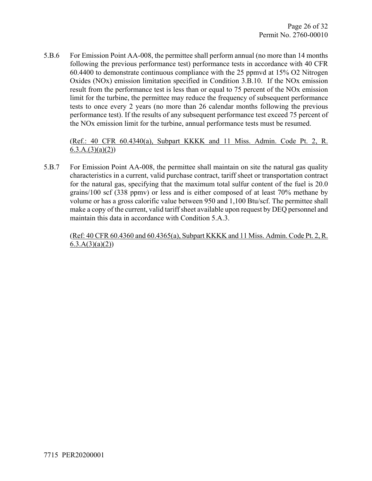5.B.6 For Emission Point AA-008, the permittee shall perform annual (no more than 14 months following the previous performance test) performance tests in accordance with 40 CFR 60.4400 to demonstrate continuous compliance with the 25 ppmvd at 15% O2 Nitrogen Oxides (NOx) emission limitation specified in Condition 3.B.10. If the NOx emission result from the performance test is less than or equal to 75 percent of the NOx emission limit for the turbine, the permittee may reduce the frequency of subsequent performance tests to once every 2 years (no more than 26 calendar months following the previous performance test). If the results of any subsequent performance test exceed 75 percent of the NOx emission limit for the turbine, annual performance tests must be resumed.

#### (Ref.: 40 CFR 60.4340(a), Subpart KKKK and 11 Miss. Admin. Code Pt. 2, R.  $6.3.A.(3)(a)(2))$

5.B.7 For Emission Point AA-008, the permittee shall maintain on site the natural gas quality characteristics in a current, valid purchase contract, tariff sheet or transportation contract for the natural gas, specifying that the maximum total sulfur content of the fuel is 20.0 grains/100 scf (338 ppmv) or less and is either composed of at least 70% methane by volume or has a gross calorific value between 950 and 1,100 Btu/scf. The permittee shall make a copy of the current, valid tariff sheet available upon request by DEQ personnel and maintain this data in accordance with Condition 5.A.3.

(Ref: 40 CFR 60.4360 and 60.4365(a), Subpart KKKK and 11 Miss. Admin. Code Pt. 2, R.  $6.3.A(3)(a)(2)$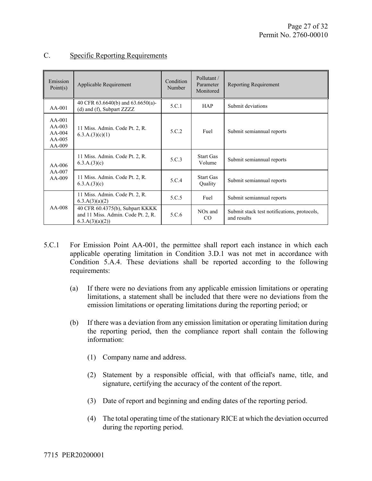| Emission<br>Point $(s)$                                  | Applicable Requirement                                                                   | Condition<br>Number | Pollutant/<br>Parameter<br>Monitored | <b>Reporting Requirement</b>                               |
|----------------------------------------------------------|------------------------------------------------------------------------------------------|---------------------|--------------------------------------|------------------------------------------------------------|
| $AA-001$                                                 | 40 CFR 63.6640(b) and 63.6650(a)-<br>(d) and (f), Subpart $ZZZZ$                         | 5.C.1               | <b>HAP</b>                           | Submit deviations                                          |
| $AA-001$<br>$AA-003$<br>$AA-004$<br>$AA-005$<br>$AA-009$ | 11 Miss. Admin. Code Pt. 2, R.<br>6.3.A.(3)(c)(1)                                        | 5.C.2               | Fuel                                 | Submit semiannual reports                                  |
| $AA-006$<br>$AA-007$<br>$AA-009$                         | 11 Miss. Admin. Code Pt. 2, R.<br>6.3.A.(3)(c)                                           | 5.C.3               | <b>Start Gas</b><br>Volume           | Submit semiannual reports                                  |
|                                                          | 11 Miss. Admin. Code Pt. 2, R.<br>6.3.A.(3)(c)                                           | 5.C.4               | <b>Start Gas</b><br>Quality          | Submit semiannual reports                                  |
| $AA-008$                                                 | 11 Miss. Admin. Code Pt. 2, R.<br>6.3.A(3)(a)(2)                                         | 5.C.5               | Fuel                                 | Submit semiannual reports                                  |
|                                                          | 40 CFR 60.4375(b), Subpart KKKK<br>and 11 Miss. Admin. Code Pt. 2, R.<br>6.3.A(3)(a)(2)) | 5.C.6               | NO <sub>x</sub> and<br>CO            | Submit stack test notifications, protocols,<br>and results |

#### C. Specific Reporting Requirements

- 5.C.1 For Emission Point AA-001, the permittee shall report each instance in which each applicable operating limitation in Condition 3.D.1 was not met in accordance with Condition 5.A.4. These deviations shall be reported according to the following requirements:
	- (a) If there were no deviations from any applicable emission limitations or operating limitations, a statement shall be included that there were no deviations from the emission limitations or operating limitations during the reporting period; or
	- (b) If there was a deviation from any emission limitation or operating limitation during the reporting period, then the compliance report shall contain the following information:
		- (1) Company name and address.
		- (2) Statement by a responsible official, with that official's name, title, and signature, certifying the accuracy of the content of the report.
		- (3) Date of report and beginning and ending dates of the reporting period.
		- (4) The total operating time of the stationary RICE at which the deviation occurred during the reporting period.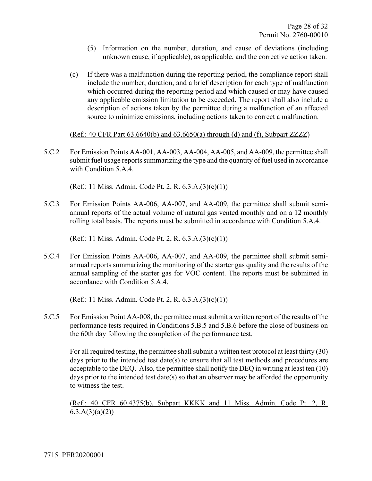- (5) Information on the number, duration, and cause of deviations (including unknown cause, if applicable), as applicable, and the corrective action taken.
- (c) If there was a malfunction during the reporting period, the compliance report shall include the number, duration, and a brief description for each type of malfunction which occurred during the reporting period and which caused or may have caused any applicable emission limitation to be exceeded. The report shall also include a description of actions taken by the permittee during a malfunction of an affected source to minimize emissions, including actions taken to correct a malfunction.

(Ref.: 40 CFR Part 63.6640(b) and 63.6650(a) through (d) and (f), Subpart ZZZZ)

5.C.2 For Emission Points AA-001, AA-003, AA-004, AA-005, and AA-009, the permittee shall submit fuel usage reports summarizing the type and the quantity of fuel used in accordance with Condition 5.A.4.

(Ref.: 11 Miss. Admin. Code Pt. 2, R. 6.3.A.(3)(c)(1))

5.C.3 For Emission Points AA-006, AA-007, and AA-009, the permittee shall submit semiannual reports of the actual volume of natural gas vented monthly and on a 12 monthly rolling total basis. The reports must be submitted in accordance with Condition 5.A.4.

(Ref.: 11 Miss. Admin. Code Pt. 2, R. 6.3.A.(3)(c)(1))

5.C.4 For Emission Points AA-006, AA-007, and AA-009, the permittee shall submit semiannual reports summarizing the monitoring of the starter gas quality and the results of the annual sampling of the starter gas for VOC content. The reports must be submitted in accordance with Condition 5.A.4.

(Ref.: 11 Miss. Admin. Code Pt. 2, R. 6.3.A.(3)(c)(1))

5.C.5 For Emission Point AA-008, the permittee must submit a written report of the results of the performance tests required in Conditions 5.B.5 and 5.B.6 before the close of business on the 60th day following the completion of the performance test.

For all required testing, the permittee shall submit a written test protocol at least thirty (30) days prior to the intended test date(s) to ensure that all test methods and procedures are acceptable to the DEQ. Also, the permittee shall notify the DEQ in writing at least ten (10) days prior to the intended test date(s) so that an observer may be afforded the opportunity to witness the test.

(Ref.: 40 CFR 60.4375(b), Subpart KKKK and 11 Miss. Admin. Code Pt. 2, R.  $6.3.A(3)(a)(2)$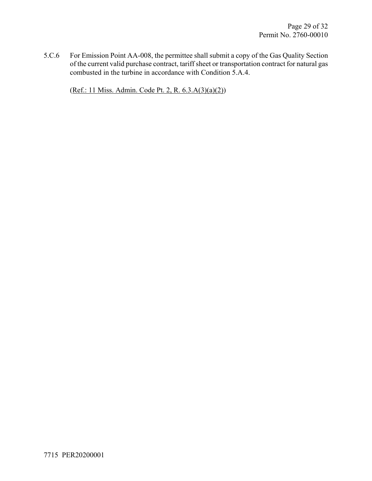5.C.6 For Emission Point AA-008, the permittee shall submit a copy of the Gas Quality Section of the current valid purchase contract, tariff sheet or transportation contract for natural gas combusted in the turbine in accordance with Condition 5.A.4.

(Ref.: 11 Miss. Admin. Code Pt. 2, R. 6.3.A(3)(a)(2))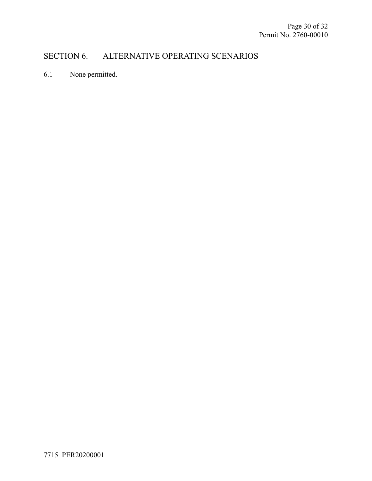## SECTION 6. ALTERNATIVE OPERATING SCENARIOS

6.1 None permitted.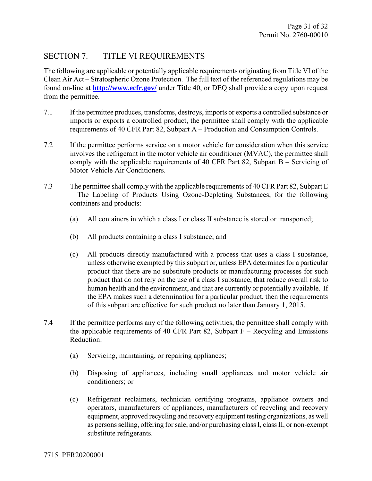## SECTION 7. TITLE VI REQUIREMENTS

The following are applicable or potentially applicable requirements originating from Title VI of the Clean Air Act – Stratospheric Ozone Protection. The full text of the referenced regulations may be found on-line at **http://www.ecfr.gov/** under Title 40, or DEQ shall provide a copy upon request from the permittee.

- 7.1 If the permittee produces, transforms, destroys, imports or exports a controlled substance or imports or exports a controlled product, the permittee shall comply with the applicable requirements of 40 CFR Part 82, Subpart A – Production and Consumption Controls.
- 7.2 If the permittee performs service on a motor vehicle for consideration when this service involves the refrigerant in the motor vehicle air conditioner (MVAC), the permittee shall comply with the applicable requirements of 40 CFR Part 82, Subpart B – Servicing of Motor Vehicle Air Conditioners.
- 7.3 The permittee shall comply with the applicable requirements of 40 CFR Part 82, Subpart E – The Labeling of Products Using Ozone-Depleting Substances, for the following containers and products:
	- (a) All containers in which a class I or class II substance is stored or transported;
	- (b) All products containing a class I substance; and
	- (c) All products directly manufactured with a process that uses a class I substance, unless otherwise exempted by this subpart or, unless EPA determines for a particular product that there are no substitute products or manufacturing processes for such product that do not rely on the use of a class I substance, that reduce overall risk to human health and the environment, and that are currently or potentially available. If the EPA makes such a determination for a particular product, then the requirements of this subpart are effective for such product no later than January 1, 2015.
- 7.4 If the permittee performs any of the following activities, the permittee shall comply with the applicable requirements of 40 CFR Part 82, Subpart  $F -$  Recycling and Emissions Reduction:
	- (a) Servicing, maintaining, or repairing appliances;
	- (b) Disposing of appliances, including small appliances and motor vehicle air conditioners; or
	- (c) Refrigerant reclaimers, technician certifying programs, appliance owners and operators, manufacturers of appliances, manufacturers of recycling and recovery equipment, approved recycling and recovery equipment testing organizations, as well as persons selling, offering for sale, and/or purchasing class I, class II, or non-exempt substitute refrigerants.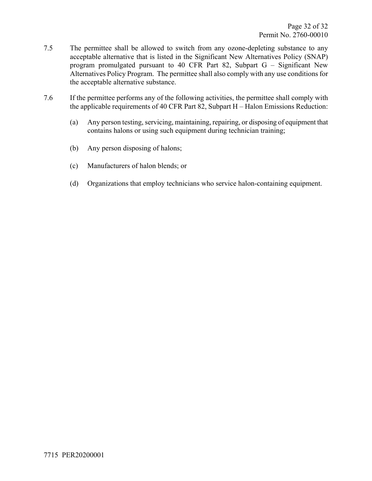- 7.5 The permittee shall be allowed to switch from any ozone-depleting substance to any acceptable alternative that is listed in the Significant New Alternatives Policy (SNAP) program promulgated pursuant to 40 CFR Part 82, Subpart G – Significant New Alternatives Policy Program. The permittee shall also comply with any use conditions for the acceptable alternative substance.
- 7.6 If the permittee performs any of the following activities, the permittee shall comply with the applicable requirements of 40 CFR Part 82, Subpart H – Halon Emissions Reduction:
	- (a) Any person testing, servicing, maintaining, repairing, or disposing of equipment that contains halons or using such equipment during technician training;
	- (b) Any person disposing of halons;
	- (c) Manufacturers of halon blends; or
	- (d) Organizations that employ technicians who service halon-containing equipment.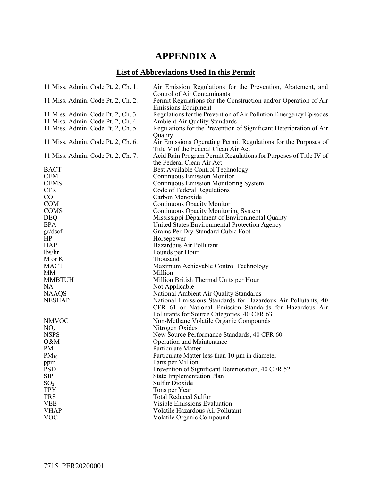## **APPENDIX A**

## **List of Abbreviations Used In this Permit**

| 11 Miss. Admin. Code Pt. 2, Ch. 1.                                       | Air Emission Regulations for the Prevention, Abatement, and<br>Control of Air Contaminants                 |
|--------------------------------------------------------------------------|------------------------------------------------------------------------------------------------------------|
| 11 Miss. Admin. Code Pt. 2, Ch. 2.                                       | Permit Regulations for the Construction and/or Operation of Air                                            |
|                                                                          | <b>Emissions Equipment</b>                                                                                 |
| 11 Miss. Admin. Code Pt. 2, Ch. 3.<br>11 Miss. Admin. Code Pt. 2, Ch. 4. | Regulations for the Prevention of Air Pollution Emergency Episodes<br><b>Ambient Air Quality Standards</b> |
| 11 Miss. Admin. Code Pt. 2, Ch. 5.                                       | Regulations for the Prevention of Significant Deterioration of Air                                         |
|                                                                          | Quality                                                                                                    |
| 11 Miss. Admin. Code Pt. 2, Ch. 6.                                       | Air Emissions Operating Permit Regulations for the Purposes of<br>Title V of the Federal Clean Air Act     |
| 11 Miss. Admin. Code Pt. 2, Ch. 7.                                       | Acid Rain Program Permit Regulations for Purposes of Title IV of<br>the Federal Clean Air Act              |
| <b>BACT</b>                                                              | Best Available Control Technology                                                                          |
| <b>CEM</b>                                                               | <b>Continuous Emission Monitor</b>                                                                         |
| <b>CEMS</b>                                                              | <b>Continuous Emission Monitoring System</b>                                                               |
| <b>CFR</b>                                                               | Code of Federal Regulations                                                                                |
| $\rm CO$                                                                 | Carbon Monoxide                                                                                            |
| <b>COM</b>                                                               | Continuous Opacity Monitor                                                                                 |
| <b>COMS</b>                                                              | <b>Continuous Opacity Monitoring System</b>                                                                |
| <b>DEQ</b>                                                               | Mississippi Department of Environmental Quality                                                            |
| <b>EPA</b>                                                               | United States Environmental Protection Agency                                                              |
| gr/dscf                                                                  | Grains Per Dry Standard Cubic Foot                                                                         |
| HP                                                                       | Horsepower                                                                                                 |
| <b>HAP</b>                                                               | Hazardous Air Pollutant                                                                                    |
| lbs/hr                                                                   | Pounds per Hour                                                                                            |
| M or K                                                                   | Thousand                                                                                                   |
| <b>MACT</b>                                                              | Maximum Achievable Control Technology                                                                      |
| MM                                                                       | Million                                                                                                    |
| <b>MMBTUH</b>                                                            | Million British Thermal Units per Hour                                                                     |
| <b>NA</b>                                                                | Not Applicable                                                                                             |
| <b>NAAQS</b>                                                             | National Ambient Air Quality Standards                                                                     |
| <b>NESHAP</b>                                                            | National Emissions Standards for Hazardous Air Pollutants, 40                                              |
|                                                                          | CFR 61 or National Emission Standards for Hazardous Air                                                    |
|                                                                          | Pollutants for Source Categories, 40 CFR 63                                                                |
| <b>NMVOC</b>                                                             | Non-Methane Volatile Organic Compounds                                                                     |
| NO <sub>x</sub>                                                          | Nitrogen Oxides                                                                                            |
| <b>NSPS</b>                                                              | New Source Performance Standards, 40 CFR 60                                                                |
| O&M                                                                      | <b>Operation and Maintenance</b>                                                                           |
| PM                                                                       | <b>Particulate Matter</b>                                                                                  |
| $PM_{10}$                                                                | Particulate Matter less than 10 µm in diameter                                                             |
| ppm                                                                      | Parts per Million                                                                                          |
| <b>PSD</b>                                                               | Prevention of Significant Deterioration, 40 CFR 52                                                         |
| <b>SIP</b>                                                               | <b>State Implementation Plan</b>                                                                           |
| SO <sub>2</sub>                                                          | <b>Sulfur Dioxide</b>                                                                                      |
| <b>TPY</b>                                                               | Tons per Year                                                                                              |
| <b>TRS</b>                                                               | <b>Total Reduced Sulfur</b>                                                                                |
| <b>VEE</b>                                                               | <b>Visible Emissions Evaluation</b>                                                                        |
| <b>VHAP</b>                                                              | Volatile Hazardous Air Pollutant                                                                           |
| <b>VOC</b>                                                               | Volatile Organic Compound                                                                                  |